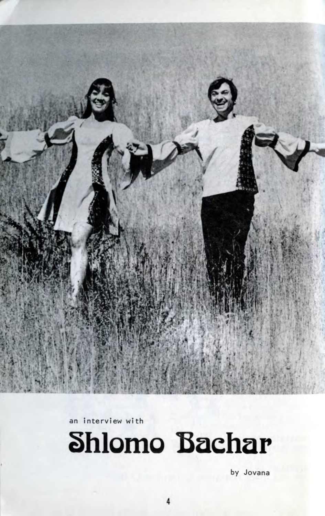

an interview wi th



by Jovana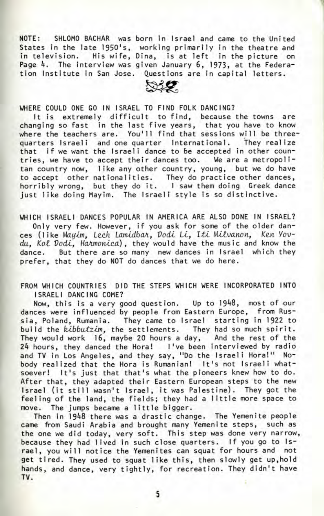NOTE: SHLOMO BACHAR was born in Israel and came to the United States in the late 1950's, working primarily in the theatre and in television. His wife, Dina, is at left in the picture on Page 4. The interview was given January 6, 1973, at the Federation Institute in San Jose. Questions are in capital letters.



WHERE COULD ONE GO IN ISRAEL TO FIND FOLK DANCING?

It is extremely difficult to find, because the towns are changing so fast in the last five years, that you have to know where the teachers are. You'll find that sessions will be threequarters Israeli and one quarter International. They realize that if we want the Israeli dance to be accepted in other countries, we have to accept their dances too. We are a metropolitan country now, like any other country, young, but we do have to accept other nationalities. They do practice other dances, horribly wrong, but they do it. I saw them doing Greek dance just like doing Mayim. The Israeli style is so distinctive.

WHICH ISRAELI DANCES POPULAR IN AMERICA ARE ALSO DONE IN ISRAEL? Only very few. However, if you ask for some of the older dances (like Mayim, Lech Lamidbar, Dodi Li, Iti Milvanon, Ken Yovdu, Kol Dodi, Harmonica), they would have the music and know the dance. But there are so many new dances in Israel which they prefer, that they do NOT do dances that we do here.

FROM WHICH COUNTRIES DID THE STEPS WHICH WERE INCORPORATED INTO ISRAELI DANCING COME?

Now, this is a very good question. Up to 1948, most of our dances were influenced by people from Eastern Europe, from Russia, Poland, Rumania. They came to Israel starting in 1922 to build the *kibbutzim*, the settlements. They had so much spirit. They would work 16, maybe 20 hours a day, And the rest of the 2k hours, they danced the Hora! I've been interviewed by radio and TV in Los Angeles, and they say, "Do the Israeli Hora!" Nobody realized that the Hora is Rumanian! It's not Israeli whatsoever! It's just that that's what the pioneers knew how to do. After that, they adapted their Eastern European steps to the new Israel (it still wasn't Israel, it was Palestine). They got the feeling of the land, the fields; they had a little more space to move. The jumps became a little bigger.

Then in 1948 there was a drastic change. The Yemenite people came from Saudi Arabia and brought many Yemenite steps, such as the one we did today, very soft. This step was done very narrow, because they had lived in such close quarters. If you go to Israel, you will notice the Yemenites can squat for hours and not get tired. They used to squat like this, then slowly get up,hold hands, and dance, very tightly, for recreation. They didn't have TV. •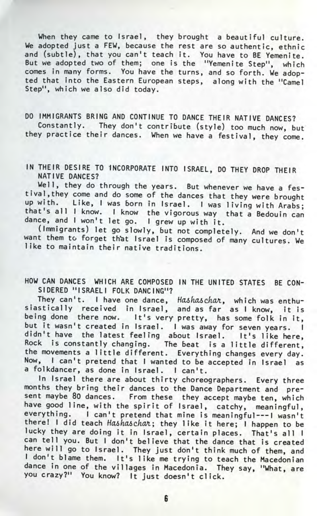When they came to Israel, they brought a beautiful culture. We adopted just a FEW, because the rest are so authentic, ethnic and (subtle), that you can't teach it. You have to BE Yemenite. But we adopted two of them; one is the "Yemenite Step", which comes in many forms. You have the turns, and so forth. We adopted that into the Eastern European steps, along with the "Camel Step", which we also did today.

DO IMMIGRANTS BRING AND CONTINUE TO DANCE THEIR NATIVE DANCES? Constantly. They don't contribute (style) too much now, but they practice their dances. When we have a festival, they come.

IN THEIR DESIRE TO INCORPORATE INTO ISRAEL, DO THEY DROP THEIR NATIVE DANCES?

Well, they do through the years. But whenever we have a festival , they come and do some of the dances that they were brought up with. Like, I was born in Israel. I was living with Arabs; that's all I know. I know the vigorous way that a Bedouin can dance, and I won't let go. I grew up with it.

(Immigrants) let go slowly, but not completely. And we don't want them to forget that Israel is composed of many cultures. We like to maintain their native traditions.

HOW CAN DANCES WHICH ARE COMPOSED IN THE UNITED STATES BE CON-SIDERED "ISRAELI FOLK DANCING"?

They can't. I have one dance, Hashaschar, which was enthuiastically received in Israel, and as far as I know, it is being done there now. It's very pretty, has some folk in it, but it wasn't created in Israel. I was away for seven years. I didn't have the latest feeling about Israel. It's like here, ock is constantly changing. The beat is a little different, the movements a little different. Everything changes every day. Now, I can't pretend that I wanted to be accepted in Israel as a folkdancer, as done in Israel. I can't.

In Israel there are about thirty choreographers. Every three months they bring their dances to the Dance Department and present maybe 80 dances. From these they accept maybe ten, which have good line, with the spirit of Israel, catchy, meaningful, everything. I can't pretend that mine is meaningful--- I wasn't there! I did teach Hashaschar; they like it here; I happen to be lucky they are doing it in Israel, certain places. That's all I can tell you. But I don't believe that the dance that is created ere will go to Israel. They just don't think much of them, and don't blame them. It's like me trying to teach the Macedonian dance in one of the villages in Macedonia. They say, "What, are you crazy?" You know? It just doesn't click.